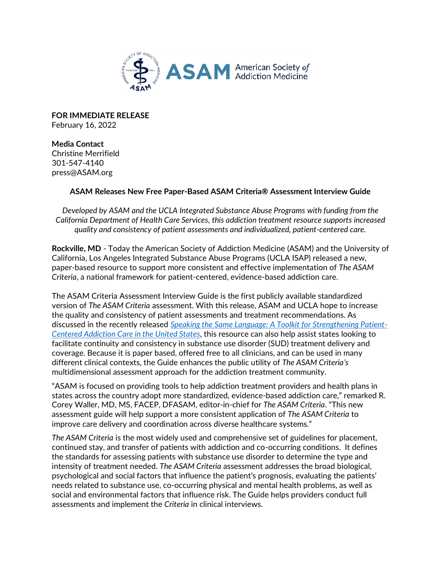

**FOR IMMEDIATE RELEASE**  February 16, 2022

**Media Contact**  Christine Merrifield 301-547-4140 press@ASAM.org

## **ASAM Releases New Free Paper-Based ASAM Criteria® Assessment Interview Guide**

*Developed by ASAM and the UCLA Integrated Substance Abuse Programs with funding from the California Department of Health Care Services, this addiction treatment resource supports increased quality and consistency of patient assessments and individualized, patient-centered care.*

**Rockville, MD** - Today the American Society of Addiction Medicine (ASAM) and the University of California, Los Angeles Integrated Substance Abuse Programs (UCLA ISAP) released a new, paper-based resource to support more consistent and effective implementation of *The ASAM Criteria*, a national framework for patient-centered, evidence-based addiction care.

The ASAM Criteria Assessment Interview Guide is the first publicly available standardized version of *The ASAM Criteria* assessment. With this release, ASAM and UCLA hope to increase the quality and consistency of patient assessments and treatment recommendations. As discussed in the recently released *[Speaking the Same Language: A Toolkit for Strengthening Patient-](https://www.asam.org/asam-criteria/toolkit)[Centered Addiction Care in the United States,](https://www.asam.org/asam-criteria/toolkit)* this resource can also help assist states looking to facilitate continuity and consistency in substance use disorder (SUD) treatment delivery and coverage. Because it is paper based, offered free to all clinicians, and can be used in many different clinical contexts, the Guide enhances the public utility of *The ASAM Criteria's* multidimensional assessment approach for the addiction treatment community.

"ASAM is focused on providing tools to help addiction treatment providers and health plans in states across the country adopt more standardized, evidence-based addiction care," remarked R. Corey Waller, MD, MS, FACEP, DFASAM, editor-in-chief for *The ASAM Criteria*. "This new assessment guide will help support a more consistent application of *The ASAM Criteria* to improve care delivery and coordination across diverse healthcare systems."

*The ASAM Criteria* is the most widely used and comprehensive set of guidelines for placement, continued stay, and transfer of patients with addiction and co-occurring conditions. It defines the standards for assessing patients with substance use disorder to determine the type and intensity of treatment needed. *The ASAM Criteria* assessment addresses the broad biological, psychological and social factors that influence the patient's prognosis, evaluating the patients' needs related to substance use, co-occurring physical and mental health problems, as well as social and environmental factors that influence risk. The Guide helps providers conduct full assessments and implement the *Criteria* in clinical interviews.